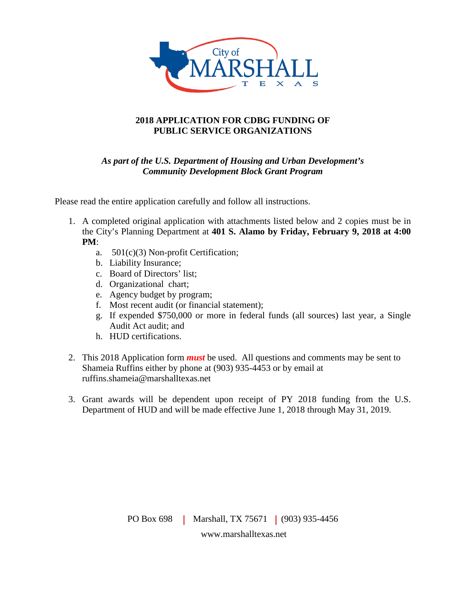

### **2018 APPLICATION FOR CDBG FUNDING OF PUBLIC SERVICE ORGANIZATIONS**

### *As part of the U.S. Department of Housing and Urban Development's Community Development Block Grant Program*

Please read the entire application carefully and follow all instructions.

- 1. A completed original application with attachments listed below and 2 copies must be in the City's Planning Department at **401 S. Alamo by Friday, February 9, 2018 at 4:00 PM**:
	- a. 501(c)(3) Non-profit Certification;
	- b. Liability Insurance;
	- c. Board of Directors' list;
	- d. Organizational chart;
	- e. Agency budget by program;
	- f. Most recent audit (or financial statement);
	- g. If expended \$750,000 or more in federal funds (all sources) last year, a Single Audit Act audit; and
	- h. HUD certifications.
- 2. This 2018 Application form *must* be used. All questions and comments may be sent to Shameia Ruffins either by phone at (903) 935-4453 or by email at ruffins.shameia@marshalltexas.net
- 3. Grant awards will be dependent upon receipt of PY 2018 funding from the U.S. Department of HUD and will be made effective June 1, 2018 through May 31, 2019.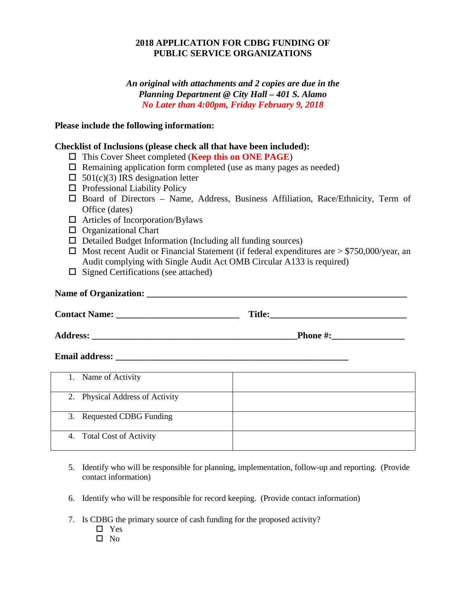### **2018 APPLICATION FOR CDBG FUNDING OF PUBLIC SERVICE ORGANIZATIONS**

*An original with attachments and 2 copies are due in the Planning Department @ City Hall – 401 S. Alamo No Later than 4:00pm, Friday February 9, 2018*

### **Please include the following information:**

### **Checklist of Inclusions (please check all that have been included):**

- This Cover Sheet completed (**Keep this on ONE PAGE**)
- $\Box$  Remaining application form completed (use as many pages as needed)
- $\Box$  501(c)(3) IRS designation letter
- $\Box$  Professional Liability Policy
- $\square$  Board of Directors Name, Address, Business Affiliation, Race/Ethnicity, Term of Office (dates)
- $\Box$  Articles of Incorporation/Bylaws
- $\Box$  Organizational Chart
- $\Box$  Detailed Budget Information (Including all funding sources)
- $\Box$  Most recent Audit or Financial Statement (if federal expenditures are  $> $750,000$ /year, an Audit complying with Single Audit Act OMB Circular A133 is required)
- $\Box$  Signed Certifications (see attached)

# **Name of Organization: \_\_\_\_\_\_\_\_\_\_\_\_\_\_\_\_\_\_\_\_\_\_\_\_\_\_\_\_\_\_\_\_\_\_\_\_\_\_\_\_\_\_\_\_\_\_\_\_\_\_\_\_\_\_\_\_\_**

| <b>Contact Name:</b><br>$-100$ |  |
|--------------------------------|--|
|--------------------------------|--|

**Address: \_\_\_\_\_\_\_\_\_\_\_\_\_\_\_\_\_\_\_\_\_\_\_\_\_\_\_\_\_\_\_\_\_\_\_\_\_\_\_\_\_\_\_\_\_Phone #:\_\_\_\_\_\_\_\_\_\_\_\_\_\_\_\_**

#### **Email address:**  $\blacksquare$

| Name of Activity<br>1.          |  |
|---------------------------------|--|
|                                 |  |
| 2. Physical Address of Activity |  |
| 3. Requested CDBG Funding       |  |
|                                 |  |
| 4. Total Cost of Activity       |  |
|                                 |  |
|                                 |  |

- 5. Identify who will be responsible for planning, implementation, follow-up and reporting. (Provide contact information)
- 6. Identify who will be responsible for record keeping. (Provide contact information)
- 7. Is CDBG the primary source of cash funding for the proposed activity?
	- □ Yes
	- $\square$  No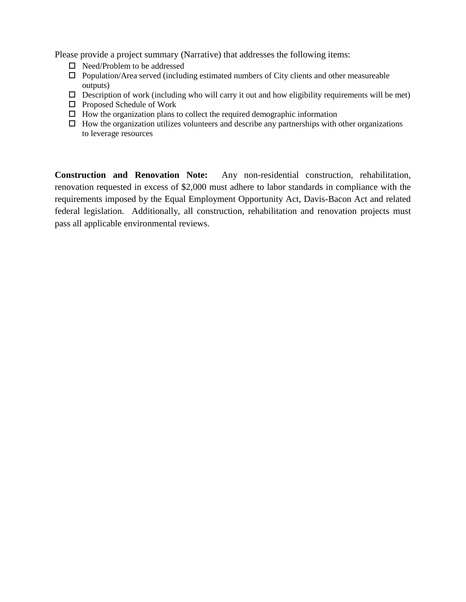Please provide a project summary (Narrative) that addresses the following items:

- $\Box$  Need/Problem to be addressed
- $\Box$  Population/Area served (including estimated numbers of City clients and other measureable outputs)
- $\Box$  Description of work (including who will carry it out and how eligibility requirements will be met)
- $\Box$  Proposed Schedule of Work
- $\Box$  How the organization plans to collect the required demographic information
- $\Box$  How the organization utilizes volunteers and describe any partnerships with other organizations to leverage resources

**Construction and Renovation Note:** Any non-residential construction, rehabilitation, renovation requested in excess of \$2,000 must adhere to labor standards in compliance with the requirements imposed by the Equal Employment Opportunity Act, Davis-Bacon Act and related federal legislation. Additionally, all construction, rehabilitation and renovation projects must pass all applicable environmental reviews.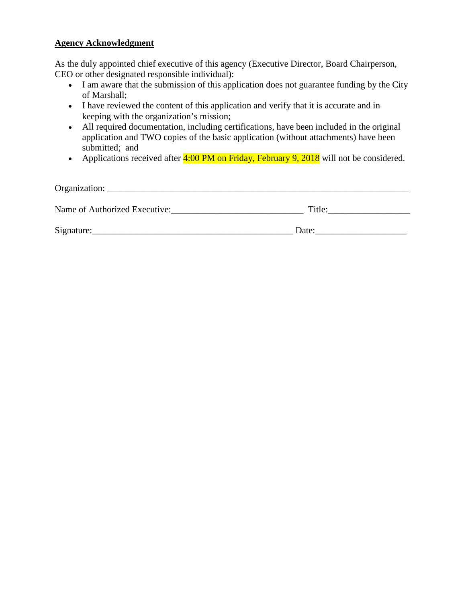### **Agency Acknowledgment**

As the duly appointed chief executive of this agency (Executive Director, Board Chairperson, CEO or other designated responsible individual):

- I am aware that the submission of this application does not guarantee funding by the City of Marshall;
- I have reviewed the content of this application and verify that it is accurate and in keeping with the organization's mission;
- All required documentation, including certifications, have been included in the original application and TWO copies of the basic application (without attachments) have been submitted; and
- Applications received after 4:00 PM on Friday, February 9, 2018 will not be considered.

| Organization:                 |        |  |  |
|-------------------------------|--------|--|--|
| Name of Authorized Executive: | Title: |  |  |
| Signature:                    | Date:  |  |  |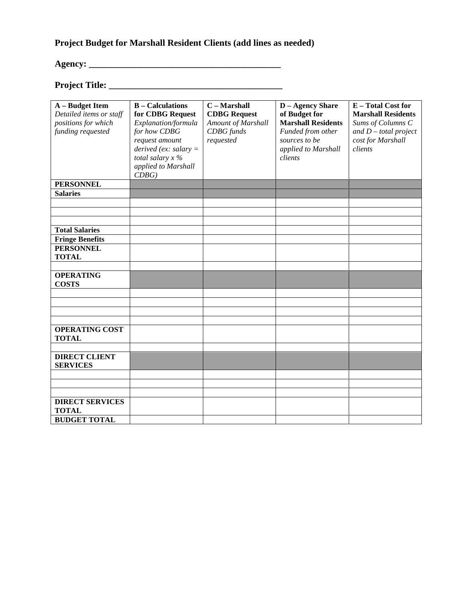## **Project Budget for Marshall Resident Clients (add lines as needed)**

# **Agency: \_\_\_\_\_\_\_\_\_\_\_\_\_\_\_\_\_\_\_\_\_\_\_\_\_\_\_\_\_\_\_\_\_\_\_\_\_\_\_\_\_\_**

### **Project Title: \_\_\_\_\_\_\_\_\_\_\_\_\_\_\_\_\_\_\_\_\_\_\_\_\_\_\_\_\_\_\_\_\_\_\_\_\_\_**

| A - Budget Item<br>Detailed items or staff<br>positions for which<br>funding requested | <b>B</b> – Calculations<br>for CDBG Request<br>Explanation/formula<br>for how CDBG<br>request amount | C - Marshall<br><b>CDBG Request</b><br>Amount of Marshall<br><b>CDBG</b> funds<br>requested | <b>D</b> – Agency Share<br>of Budget for<br><b>Marshall Residents</b><br>Funded from other<br>sources to be | E - Total Cost for<br><b>Marshall Residents</b><br>Sums of Columns C<br>and $D$ – total project<br>cost for Marshall |
|----------------------------------------------------------------------------------------|------------------------------------------------------------------------------------------------------|---------------------------------------------------------------------------------------------|-------------------------------------------------------------------------------------------------------------|----------------------------------------------------------------------------------------------------------------------|
|                                                                                        | derived (ex: salary $=$<br>total salary $x \, \%$<br>applied to Marshall<br>CDBG                     |                                                                                             | applied to Marshall<br>clients                                                                              | clients                                                                                                              |
| <b>PERSONNEL</b>                                                                       |                                                                                                      |                                                                                             |                                                                                                             |                                                                                                                      |
| <b>Salaries</b>                                                                        |                                                                                                      |                                                                                             |                                                                                                             |                                                                                                                      |
|                                                                                        |                                                                                                      |                                                                                             |                                                                                                             |                                                                                                                      |
|                                                                                        |                                                                                                      |                                                                                             |                                                                                                             |                                                                                                                      |
| <b>Total Salaries</b>                                                                  |                                                                                                      |                                                                                             |                                                                                                             |                                                                                                                      |
| <b>Fringe Benefits</b>                                                                 |                                                                                                      |                                                                                             |                                                                                                             |                                                                                                                      |
| <b>PERSONNEL</b>                                                                       |                                                                                                      |                                                                                             |                                                                                                             |                                                                                                                      |
| <b>TOTAL</b>                                                                           |                                                                                                      |                                                                                             |                                                                                                             |                                                                                                                      |
|                                                                                        |                                                                                                      |                                                                                             |                                                                                                             |                                                                                                                      |
| <b>OPERATING</b><br><b>COSTS</b>                                                       |                                                                                                      |                                                                                             |                                                                                                             |                                                                                                                      |
|                                                                                        |                                                                                                      |                                                                                             |                                                                                                             |                                                                                                                      |
|                                                                                        |                                                                                                      |                                                                                             |                                                                                                             |                                                                                                                      |
|                                                                                        |                                                                                                      |                                                                                             |                                                                                                             |                                                                                                                      |
| <b>OPERATING COST</b>                                                                  |                                                                                                      |                                                                                             |                                                                                                             |                                                                                                                      |
| <b>TOTAL</b>                                                                           |                                                                                                      |                                                                                             |                                                                                                             |                                                                                                                      |
|                                                                                        |                                                                                                      |                                                                                             |                                                                                                             |                                                                                                                      |
| <b>DIRECT CLIENT</b><br><b>SERVICES</b>                                                |                                                                                                      |                                                                                             |                                                                                                             |                                                                                                                      |
|                                                                                        |                                                                                                      |                                                                                             |                                                                                                             |                                                                                                                      |
|                                                                                        |                                                                                                      |                                                                                             |                                                                                                             |                                                                                                                      |
|                                                                                        |                                                                                                      |                                                                                             |                                                                                                             |                                                                                                                      |
| <b>DIRECT SERVICES</b><br><b>TOTAL</b>                                                 |                                                                                                      |                                                                                             |                                                                                                             |                                                                                                                      |
| <b>BUDGET TOTAL</b>                                                                    |                                                                                                      |                                                                                             |                                                                                                             |                                                                                                                      |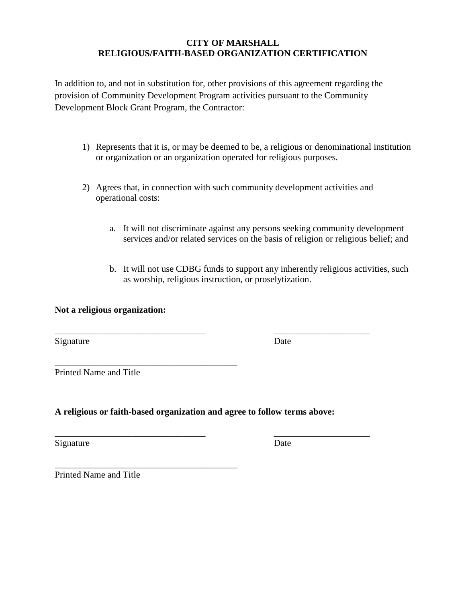### **CITY OF MARSHALL RELIGIOUS/FAITH-BASED ORGANIZATION CERTIFICATION**

In addition to, and not in substitution for, other provisions of this agreement regarding the provision of Community Development Program activities pursuant to the Community Development Block Grant Program, the Contractor:

- 1) Represents that it is, or may be deemed to be, a religious or denominational institution or organization or an organization operated for religious purposes.
- 2) Agrees that, in connection with such community development activities and operational costs:
	- a. It will not discriminate against any persons seeking community development services and/or related services on the basis of religion or religious belief; and
	- b. It will not use CDBG funds to support any inherently religious activities, such as worship, religious instruction, or proselytization.

### **Not a religious organization:**

\_\_\_\_\_\_\_\_\_\_\_\_\_\_\_\_\_\_\_\_\_\_\_\_\_\_\_\_\_\_\_\_\_\_\_\_\_\_\_\_

Signature Date

Printed Name and Title

### **A religious or faith-based organization and agree to follow terms above:**

\_\_\_\_\_\_\_\_\_\_\_\_\_\_\_\_\_\_\_\_\_\_\_\_\_\_\_\_\_\_\_\_\_ \_\_\_\_\_\_\_\_\_\_\_\_\_\_\_\_\_\_\_\_\_

\_\_\_\_\_\_\_\_\_\_\_\_\_\_\_\_\_\_\_\_\_\_\_\_\_\_\_\_\_\_\_\_\_ \_\_\_\_\_\_\_\_\_\_\_\_\_\_\_\_\_\_\_\_\_

Signature Date

\_\_\_\_\_\_\_\_\_\_\_\_\_\_\_\_\_\_\_\_\_\_\_\_\_\_\_\_\_\_\_\_\_\_\_\_\_\_\_\_ Printed Name and Title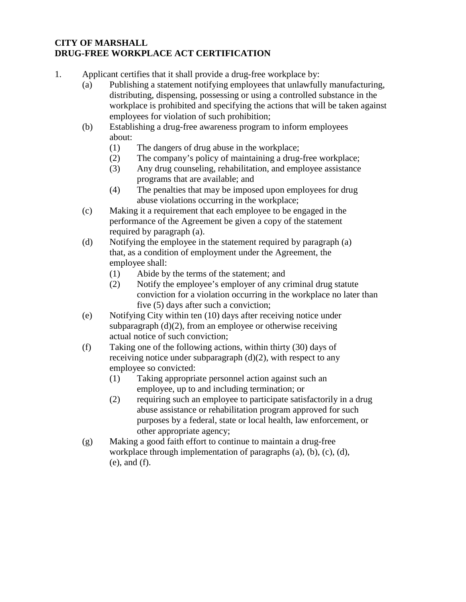### **CITY OF MARSHALL DRUG-FREE WORKPLACE ACT CERTIFICATION**

- 1. Applicant certifies that it shall provide a drug-free workplace by:
	- (a) Publishing a statement notifying employees that unlawfully manufacturing, distributing, dispensing, possessing or using a controlled substance in the workplace is prohibited and specifying the actions that will be taken against employees for violation of such prohibition;
	- (b) Establishing a drug-free awareness program to inform employees about:
		- (1) The dangers of drug abuse in the workplace;
		- (2) The company's policy of maintaining a drug-free workplace;
		- (3) Any drug counseling, rehabilitation, and employee assistance programs that are available; and
		- (4) The penalties that may be imposed upon employees for drug abuse violations occurring in the workplace;
	- (c) Making it a requirement that each employee to be engaged in the performance of the Agreement be given a copy of the statement required by paragraph (a).
	- (d) Notifying the employee in the statement required by paragraph (a) that, as a condition of employment under the Agreement, the employee shall:
		- (1) Abide by the terms of the statement; and
		- (2) Notify the employee's employer of any criminal drug statute conviction for a violation occurring in the workplace no later than five (5) days after such a conviction;
	- (e) Notifying City within ten (10) days after receiving notice under subparagraph (d)(2), from an employee or otherwise receiving actual notice of such conviction;
	- (f) Taking one of the following actions, within thirty (30) days of receiving notice under subparagraph  $(d)(2)$ , with respect to any employee so convicted:
		- (1) Taking appropriate personnel action against such an employee, up to and including termination; or
		- (2) requiring such an employee to participate satisfactorily in a drug abuse assistance or rehabilitation program approved for such purposes by a federal, state or local health, law enforcement, or other appropriate agency;
	- (g) Making a good faith effort to continue to maintain a drug-free workplace through implementation of paragraphs (a), (b), (c), (d), (e), and (f).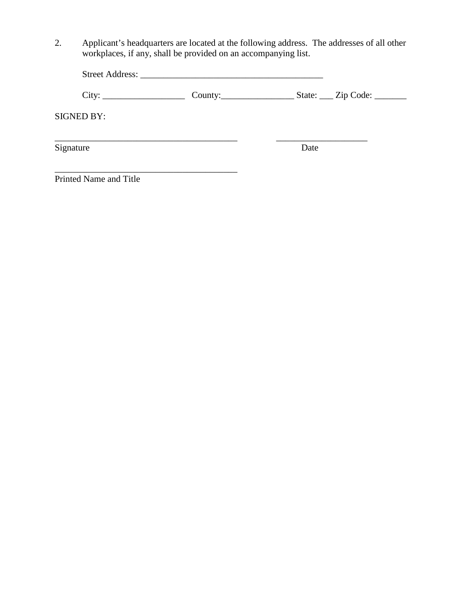2. Applicant's headquarters are located at the following address. The addresses of all other workplaces, if any, shall be provided on an accompanying list.

\_\_\_\_\_\_\_\_\_\_\_\_\_\_\_\_\_\_\_\_\_\_\_\_\_\_\_\_\_\_\_\_\_\_\_\_\_\_\_\_

| <b>Street Address:</b> |  |
|------------------------|--|
|                        |  |

City: \_\_\_\_\_\_\_\_\_\_\_\_\_\_\_\_\_\_ County:\_\_\_\_\_\_\_\_\_\_\_\_\_\_\_\_ State: \_\_\_ Zip Code: \_\_\_\_\_\_\_

SIGNED BY:

 $Signature$ 

\_\_\_\_\_\_\_\_\_\_\_\_\_\_\_\_\_\_\_\_\_\_\_\_\_\_\_\_\_\_\_\_\_\_\_\_\_\_\_\_ \_\_\_\_\_\_\_\_\_\_\_\_\_\_\_\_\_\_\_\_

Printed Name and Title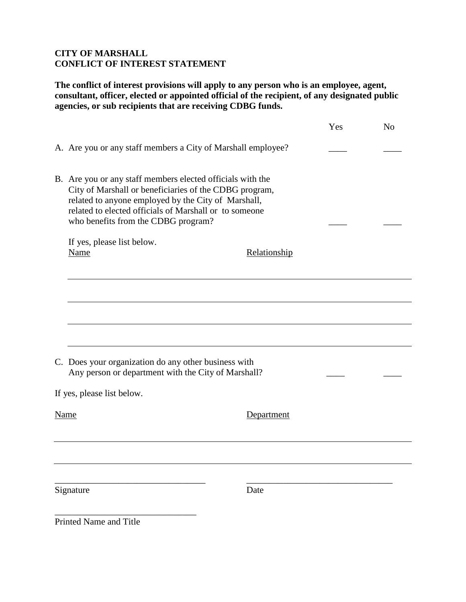### **CITY OF MARSHALL CONFLICT OF INTEREST STATEMENT**

**The conflict of interest provisions will apply to any person who is an employee, agent, consultant, officer, elected or appointed official of the recipient, of any designated public agencies, or sub recipients that are receiving CDBG funds.**

|      |                                                                                                                                                                                                                                                                              | Yes | N <sub>o</sub> |
|------|------------------------------------------------------------------------------------------------------------------------------------------------------------------------------------------------------------------------------------------------------------------------------|-----|----------------|
|      | A. Are you or any staff members a City of Marshall employee?                                                                                                                                                                                                                 |     |                |
|      | B. Are you or any staff members elected officials with the<br>City of Marshall or beneficiaries of the CDBG program,<br>related to anyone employed by the City of Marshall,<br>related to elected officials of Marshall or to someone<br>who benefits from the CDBG program? |     |                |
|      | If yes, please list below.<br>Name<br>Relationship                                                                                                                                                                                                                           |     |                |
|      |                                                                                                                                                                                                                                                                              |     |                |
|      |                                                                                                                                                                                                                                                                              |     |                |
|      |                                                                                                                                                                                                                                                                              |     |                |
|      | C. Does your organization do any other business with<br>Any person or department with the City of Marshall?                                                                                                                                                                  |     |                |
|      | If yes, please list below.                                                                                                                                                                                                                                                   |     |                |
| Name | Department                                                                                                                                                                                                                                                                   |     |                |
|      |                                                                                                                                                                                                                                                                              |     |                |
|      | Date<br>Signature                                                                                                                                                                                                                                                            |     |                |
|      |                                                                                                                                                                                                                                                                              |     |                |

Printed Name and Title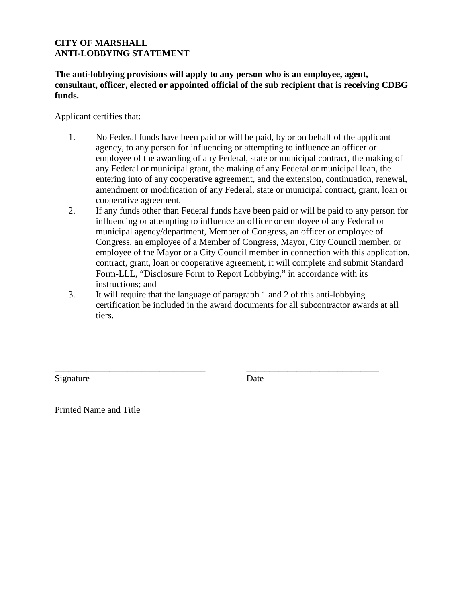### **CITY OF MARSHALL ANTI-LOBBYING STATEMENT**

**The anti-lobbying provisions will apply to any person who is an employee, agent, consultant, officer, elected or appointed official of the sub recipient that is receiving CDBG funds.**

Applicant certifies that:

- 1. No Federal funds have been paid or will be paid, by or on behalf of the applicant agency, to any person for influencing or attempting to influence an officer or employee of the awarding of any Federal, state or municipal contract, the making of any Federal or municipal grant, the making of any Federal or municipal loan, the entering into of any cooperative agreement, and the extension, continuation, renewal, amendment or modification of any Federal, state or municipal contract, grant, loan or cooperative agreement.
- 2. If any funds other than Federal funds have been paid or will be paid to any person for influencing or attempting to influence an officer or employee of any Federal or municipal agency/department, Member of Congress, an officer or employee of Congress, an employee of a Member of Congress, Mayor, City Council member, or employee of the Mayor or a City Council member in connection with this application, contract, grant, loan or cooperative agreement, it will complete and submit Standard Form-LLL, "Disclosure Form to Report Lobbying," in accordance with its instructions; and
- 3. It will require that the language of paragraph 1 and 2 of this anti-lobbying certification be included in the award documents for all subcontractor awards at all tiers.

\_\_\_\_\_\_\_\_\_\_\_\_\_\_\_\_\_\_\_\_\_\_\_\_\_\_\_\_\_\_\_\_\_ \_\_\_\_\_\_\_\_\_\_\_\_\_\_\_\_\_\_\_\_\_\_\_\_\_\_\_\_\_

Signature Date

\_\_\_\_\_\_\_\_\_\_\_\_\_\_\_\_\_\_\_\_\_\_\_\_\_\_\_\_\_\_\_\_\_ Printed Name and Title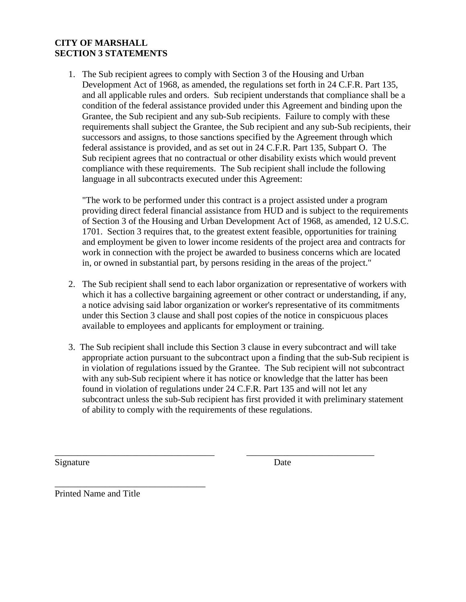### **CITY OF MARSHALL SECTION 3 STATEMENTS**

1. The Sub recipient agrees to comply with Section 3 of the Housing and Urban Development Act of 1968, as amended, the regulations set forth in 24 C.F.R. Part 135, and all applicable rules and orders. Sub recipient understands that compliance shall be a condition of the federal assistance provided under this Agreement and binding upon the Grantee, the Sub recipient and any sub-Sub recipients. Failure to comply with these requirements shall subject the Grantee, the Sub recipient and any sub-Sub recipients, their successors and assigns, to those sanctions specified by the Agreement through which federal assistance is provided, and as set out in 24 C.F.R. Part 135, Subpart O. The Sub recipient agrees that no contractual or other disability exists which would prevent compliance with these requirements. The Sub recipient shall include the following language in all subcontracts executed under this Agreement:

"The work to be performed under this contract is a project assisted under a program providing direct federal financial assistance from HUD and is subject to the requirements of Section 3 of the Housing and Urban Development Act of 1968, as amended, 12 U.S.C. 1701. Section 3 requires that, to the greatest extent feasible, opportunities for training and employment be given to lower income residents of the project area and contracts for work in connection with the project be awarded to business concerns which are located in, or owned in substantial part, by persons residing in the areas of the project."

- 2. The Sub recipient shall send to each labor organization or representative of workers with which it has a collective bargaining agreement or other contract or understanding, if any, a notice advising said labor organization or worker's representative of its commitments under this Section 3 clause and shall post copies of the notice in conspicuous places available to employees and applicants for employment or training.
- 3. The Sub recipient shall include this Section 3 clause in every subcontract and will take appropriate action pursuant to the subcontract upon a finding that the sub-Sub recipient is in violation of regulations issued by the Grantee. The Sub recipient will not subcontract with any sub-Sub recipient where it has notice or knowledge that the latter has been found in violation of regulations under 24 C.F.R. Part 135 and will not let any subcontract unless the sub-Sub recipient has first provided it with preliminary statement of ability to comply with the requirements of these regulations.

\_\_\_\_\_\_\_\_\_\_\_\_\_\_\_\_\_\_\_\_\_\_\_\_\_\_\_\_\_\_\_\_\_\_\_ \_\_\_\_\_\_\_\_\_\_\_\_\_\_\_\_\_\_\_\_\_\_\_\_\_\_\_\_

Signature Date

Printed Name and Title

\_\_\_\_\_\_\_\_\_\_\_\_\_\_\_\_\_\_\_\_\_\_\_\_\_\_\_\_\_\_\_\_\_